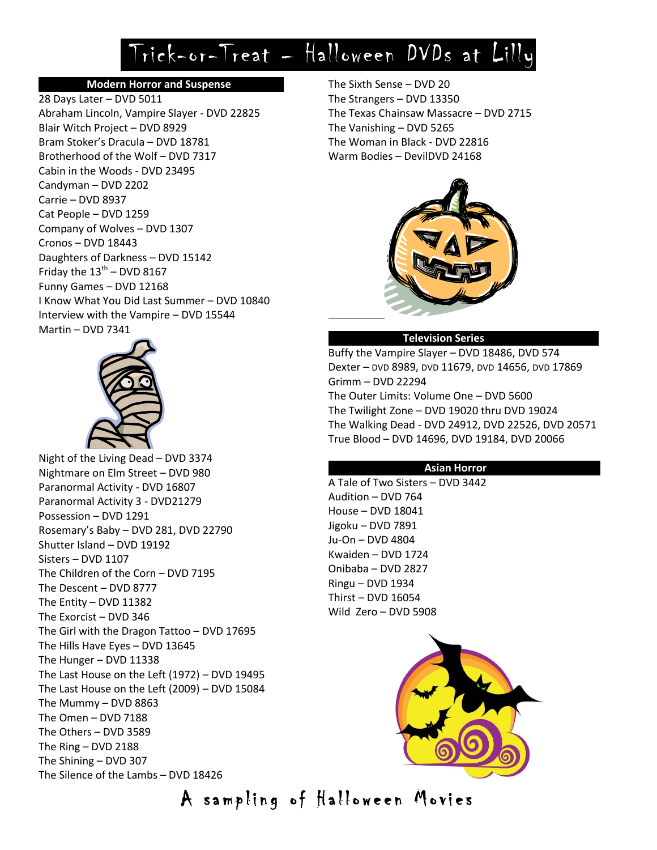# Trick-or-Treat – Halloween DVDs at Lilly

# **Modern Horror and Suspense ……………**

28 Days Later – DVD 5011 Abraham Lincoln, Vampire Slayer - DVD 22825 Blair Witch Project – DVD 8929 Bram Stoker's Dracula – DVD 18781 Brotherhood of the Wolf – DVD 7317 Cabin in the Woods - DVD 23495 Candyman – DVD 2202 Carrie – DVD 8937 Cat People – DVD 1259 Company of Wolves – DVD 1307 Cronos – DVD 18443 Daughters of Darkness – DVD 15142 Friday the  $13<sup>th</sup>$  – DVD 8167 Funny Games – DVD 12168 I Know What You Did Last Summer – DVD 10840 Interview with the Vampire – DVD 15544 Martin – DVD 7341



Night of the Living Dead – DVD 3374 Nightmare on Elm Street – DVD 980 Paranormal Activity - DVD 16807 Paranormal Activity 3 - DVD21279 Possession – DVD 1291 Rosemary's Baby – DVD 281, DVD 22790 Shutter Island – DVD 19192 Sisters – DVD 1107 The Children of the Corn – DVD 7195 The Descent – DVD 8777 The Entity – DVD 11382 The Exorcist – DVD 346 The Girl with the Dragon Tattoo – DVD 17695 The Hills Have Eyes – DVD 13645 The Hunger – DVD 11338 The Last House on the Left (1972) – DVD 19495 The Last House on the Left (2009) – DVD 15084 The Mummy – DVD 8863 The Omen – DVD 7188 The Others – DVD 3589 The Ring – DVD 2188 The Shining – DVD 307 The Silence of the Lambs – DVD 18426

The Sixth Sense – DVD 20 The Strangers – DVD 13350 The Texas Chainsaw Massacre – DVD 2715 The Vanishing – DVD 5265 The Woman in Black - DVD 22816 Warm Bodies – DevilDVD 24168



### **Television Series ……………**

Buffy the Vampire Slayer – DVD 18486, DVD 574 Dexter – DVD 8989, DVD 11679, DVD 14656, DVD 17869 Grimm – DVD 22294 The Outer Limits: Volume One – DVD 5600 The Twilight Zone – DVD 19020 thru DVD 19024 The Walking Dead - DVD 24912, DVD 22526, DVD 20571 True Blood – DVD 14696, DVD 19184, DVD 20066

## **Asian Horror …………**

A Tale of Two Sisters – DVD 3442 Audition – DVD 764 House – DVD 18041 Jigoku – DVD 7891 Ju-On – DVD 4804 Kwaiden – DVD 1724 Onibaba – DVD 2827 Ringu – DVD 1934 Thirst – DVD 16054 Wild Zero – DVD 5908



A sampling of Halloween Movies